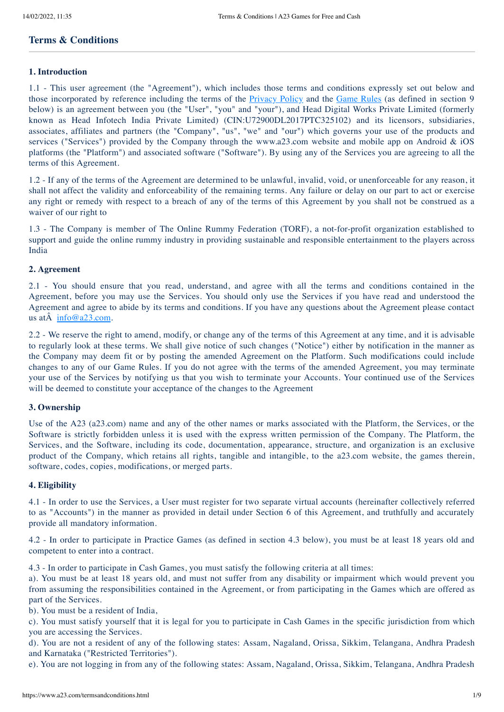# **Terms & Conditions**

## **1. Introduction**

1.1 - This user agreement (the "Agreement"), which includes those terms and conditions expressly set out below and those incorporated by reference including the terms of the [Privacy](https://www.a23.com/termsandconditions.html#) Policy and the [Game](https://www.a23.com/termsandconditions.html#) Rules (as defined in section 9 below) is an agreement between you (the "User", "you" and "your"), and Head Digital Works Private Limited (formerly known as Head Infotech India Private Limited) (CIN:U72900DL2017PTC325102) and its licensors, subsidiaries, associates, affiliates and partners (the "Company", "us", "we" and "our") which governs your use of the products and services ("Services") provided by the Company through the www.a23.com website and mobile app on Android & iOS platforms (the "Platform") and associated software ("Software"). By using any of the Services you are agreeing to all the terms of this Agreement.

1.2 - If any of the terms of the Agreement are determined to be unlawful, invalid, void, or unenforceable for any reason, it shall not affect the validity and enforceability of the remaining terms. Any failure or delay on our part to act or exercise any right or remedy with respect to a breach of any of the terms of this Agreement by you shall not be construed as a waiver of our right to

1.3 - The Company is member of The Online Rummy Federation (TORF), a not-for-profit organization established to support and guide the online rummy industry in providing sustainable and responsible entertainment to the players across India

## **2. Agreement**

2.1 - You should ensure that you read, understand, and agree with all the terms and conditions contained in the Agreement, before you may use the Services. You should only use the Services if you have read and understood the Agreement and agree to abide by its terms and conditions. If you have any questions about the Agreement please contact us at $\hat{A}$  [info@a23.com.](mailto:info@a23.com)

2.2 - We reserve the right to amend, modify, or change any of the terms of this Agreement at any time, and it is advisable to regularly look at these terms. We shall give notice of such changes ("Notice") either by notification in the manner as the Company may deem fit or by posting the amended Agreement on the Platform. Such modifications could include changes to any of our Game Rules. If you do not agree with the terms of the amended Agreement, you may terminate your use of the Services by notifying us that you wish to terminate your Accounts. Your continued use of the Services will be deemed to constitute your acceptance of the changes to the Agreement

### **3. Ownership**

Use of the A23 (a23.com) name and any of the other names or marks associated with the Platform, the Services, or the Software is strictly forbidden unless it is used with the express written permission of the Company. The Platform, the Services, and the Software, including its code, documentation, appearance, structure, and organization is an exclusive product of the Company, which retains all rights, tangible and intangible, to the a23.com website, the games therein, software, codes, copies, modifications, or merged parts.

### **4. Eligibility**

4.1 - In order to use the Services, a User must register for two separate virtual accounts (hereinafter collectively referred to as "Accounts") in the manner as provided in detail under Section 6 of this Agreement, and truthfully and accurately provide all mandatory information.

4.2 - In order to participate in Practice Games (as defined in section 4.3 below), you must be at least 18 years old and competent to enter into a contract.

4.3 - In order to participate in Cash Games, you must satisfy the following criteria at all times:

a). You must be at least 18 years old, and must not suffer from any disability or impairment which would prevent you from assuming the responsibilities contained in the Agreement, or from participating in the Games which are offered as part of the Services.

b). You must be a resident of India,

c). You must satisfy yourself that it is legal for you to participate in Cash Games in the specific jurisdiction from which you are accessing the Services.

d). You are not a resident of any of the following states: Assam, Nagaland, Orissa, Sikkim, Telangana, Andhra Pradesh and Karnataka ("Restricted Territories").

e). You are not logging in from any of the following states: Assam, Nagaland, Orissa, Sikkim, Telangana, Andhra Pradesh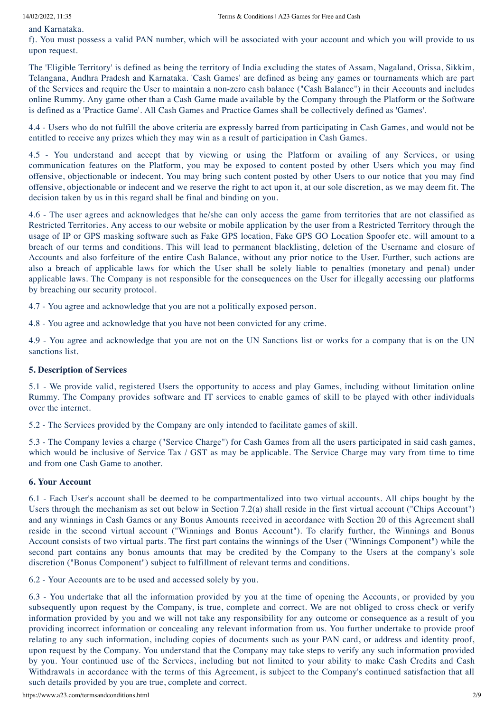and Karnataka.

f). You must possess a valid PAN number, which will be associated with your account and which you will provide to us upon request.

The 'Eligible Territory' is defined as being the territory of India excluding the states of Assam, Nagaland, Orissa, Sikkim, Telangana, Andhra Pradesh and Karnataka. 'Cash Games' are defined as being any games or tournaments which are part of the Services and require the User to maintain a non-zero cash balance ("Cash Balance") in their Accounts and includes online Rummy. Any game other than a Cash Game made available by the Company through the Platform or the Software is defined as a 'Practice Game'. All Cash Games and Practice Games shall be collectively defined as 'Games'.

4.4 - Users who do not fulfill the above criteria are expressly barred from participating in Cash Games, and would not be entitled to receive any prizes which they may win as a result of participation in Cash Games.

4.5 - You understand and accept that by viewing or using the Platform or availing of any Services, or using communication features on the Platform, you may be exposed to content posted by other Users which you may find offensive, objectionable or indecent. You may bring such content posted by other Users to our notice that you may find offensive, objectionable or indecent and we reserve the right to act upon it, at our sole discretion, as we may deem fit. The decision taken by us in this regard shall be final and binding on you.

4.6 - The user agrees and acknowledges that he/she can only access the game from territories that are not classified as Restricted Territories. Any access to our website or mobile application by the user from a Restricted Territory through the usage of IP or GPS masking software such as Fake GPS location, Fake GPS GO Location Spoofer etc. will amount to a breach of our terms and conditions. This will lead to permanent blacklisting, deletion of the Username and closure of Accounts and also forfeiture of the entire Cash Balance, without any prior notice to the User. Further, such actions are also a breach of applicable laws for which the User shall be solely liable to penalties (monetary and penal) under applicable laws. The Company is not responsible for the consequences on the User for illegally accessing our platforms by breaching our security protocol.

4.7 - You agree and acknowledge that you are not a politically exposed person.

4.8 - You agree and acknowledge that you have not been convicted for any crime.

4.9 - You agree and acknowledge that you are not on the UN Sanctions list or works for a company that is on the UN sanctions list.

# **5. Description of Services**

5.1 - We provide valid, registered Users the opportunity to access and play Games, including without limitation online Rummy. The Company provides software and IT services to enable games of skill to be played with other individuals over the internet.

5.2 - The Services provided by the Company are only intended to facilitate games of skill.

5.3 - The Company levies a charge ("Service Charge") for Cash Games from all the users participated in said cash games, which would be inclusive of Service Tax / GST as may be applicable. The Service Charge may vary from time to time and from one Cash Game to another.

### **6. Your Account**

6.1 - Each User's account shall be deemed to be compartmentalized into two virtual accounts. All chips bought by the Users through the mechanism as set out below in Section 7.2(a) shall reside in the first virtual account ("Chips Account") and any winnings in Cash Games or any Bonus Amounts received in accordance with Section 20 of this Agreement shall reside in the second virtual account ("Winnings and Bonus Account"). To clarify further, the Winnings and Bonus Account consists of two virtual parts. The first part contains the winnings of the User ("Winnings Component") while the second part contains any bonus amounts that may be credited by the Company to the Users at the company's sole discretion ("Bonus Component") subject to fulfillment of relevant terms and conditions.

6.2 - Your Accounts are to be used and accessed solely by you.

6.3 - You undertake that all the information provided by you at the time of opening the Accounts, or provided by you subsequently upon request by the Company, is true, complete and correct. We are not obliged to cross check or verify information provided by you and we will not take any responsibility for any outcome or consequence as a result of you providing incorrect information or concealing any relevant information from us. You further undertake to provide proof relating to any such information, including copies of documents such as your PAN card, or address and identity proof, upon request by the Company. You understand that the Company may take steps to verify any such information provided by you. Your continued use of the Services, including but not limited to your ability to make Cash Credits and Cash Withdrawals in accordance with the terms of this Agreement, is subject to the Company's continued satisfaction that all such details provided by you are true, complete and correct.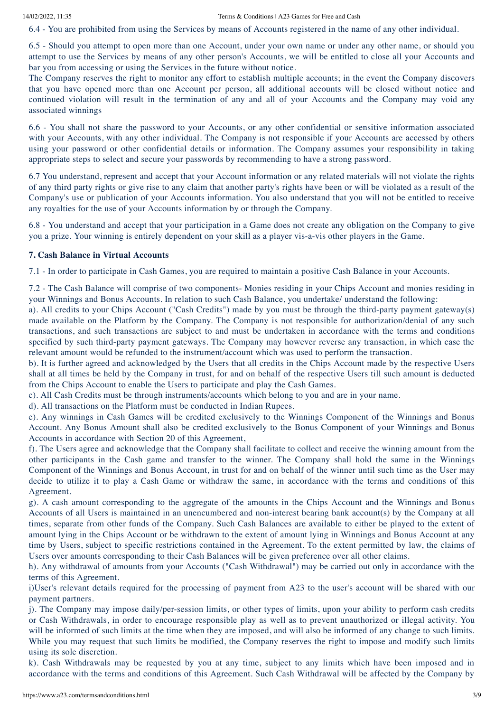6.4 - You are prohibited from using the Services by means of Accounts registered in the name of any other individual.

6.5 - Should you attempt to open more than one Account, under your own name or under any other name, or should you attempt to use the Services by means of any other person's Accounts, we will be entitled to close all your Accounts and bar you from accessing or using the Services in the future without notice.

The Company reserves the right to monitor any effort to establish multiple accounts; in the event the Company discovers that you have opened more than one Account per person, all additional accounts will be closed without notice and continued violation will result in the termination of any and all of your Accounts and the Company may void any associated winnings

6.6 - You shall not share the password to your Accounts, or any other confidential or sensitive information associated with your Accounts, with any other individual. The Company is not responsible if your Accounts are accessed by others using your password or other confidential details or information. The Company assumes your responsibility in taking appropriate steps to select and secure your passwords by recommending to have a strong password.

6.7 You understand, represent and accept that your Account information or any related materials will not violate the rights of any third party rights or give rise to any claim that another party's rights have been or will be violated as a result of the Company's use or publication of your Accounts information. You also understand that you will not be entitled to receive any royalties for the use of your Accounts information by or through the Company.

6.8 - You understand and accept that your participation in a Game does not create any obligation on the Company to give you a prize. Your winning is entirely dependent on your skill as a player vis-a-vis other players in the Game.

### **7. Cash Balance in Virtual Accounts**

7.1 - In order to participate in Cash Games, you are required to maintain a positive Cash Balance in your Accounts.

7.2 - The Cash Balance will comprise of two components- Monies residing in your Chips Account and monies residing in your Winnings and Bonus Accounts. In relation to such Cash Balance, you undertake/ understand the following:

a). All credits to your Chips Account ("Cash Credits") made by you must be through the third-party payment gateway(s) made available on the Platform by the Company. The Company is not responsible for authorization/denial of any such transactions, and such transactions are subject to and must be undertaken in accordance with the terms and conditions specified by such third-party payment gateways. The Company may however reverse any transaction, in which case the relevant amount would be refunded to the instrument/account which was used to perform the transaction.

b). It is further agreed and acknowledged by the Users that all credits in the Chips Account made by the respective Users shall at all times be held by the Company in trust, for and on behalf of the respective Users till such amount is deducted from the Chips Account to enable the Users to participate and play the Cash Games.

c). All Cash Credits must be through instruments/accounts which belong to you and are in your name.

d). All transactions on the Platform must be conducted in Indian Rupees.

e). Any winnings in Cash Games will be credited exclusively to the Winnings Component of the Winnings and Bonus Account. Any Bonus Amount shall also be credited exclusively to the Bonus Component of your Winnings and Bonus Accounts in accordance with Section 20 of this Agreement,

f). The Users agree and acknowledge that the Company shall facilitate to collect and receive the winning amount from the other participants in the Cash game and transfer to the winner. The Company shall hold the same in the Winnings Component of the Winnings and Bonus Account, in trust for and on behalf of the winner until such time as the User may decide to utilize it to play a Cash Game or withdraw the same, in accordance with the terms and conditions of this Agreement.

g). A cash amount corresponding to the aggregate of the amounts in the Chips Account and the Winnings and Bonus Accounts of all Users is maintained in an unencumbered and non-interest bearing bank account(s) by the Company at all times, separate from other funds of the Company. Such Cash Balances are available to either be played to the extent of amount lying in the Chips Account or be withdrawn to the extent of amount lying in Winnings and Bonus Account at any time by Users, subject to specific restrictions contained in the Agreement. To the extent permitted by law, the claims of Users over amounts corresponding to their Cash Balances will be given preference over all other claims.

h). Any withdrawal of amounts from your Accounts ("Cash Withdrawal") may be carried out only in accordance with the terms of this Agreement.

i)User's relevant details required for the processing of payment from A23 to the user's account will be shared with our payment partners.

j). The Company may impose daily/per-session limits, or other types of limits, upon your ability to perform cash credits or Cash Withdrawals, in order to encourage responsible play as well as to prevent unauthorized or illegal activity. You will be informed of such limits at the time when they are imposed, and will also be informed of any change to such limits. While you may request that such limits be modified, the Company reserves the right to impose and modify such limits using its sole discretion.

k). Cash Withdrawals may be requested by you at any time, subject to any limits which have been imposed and in accordance with the terms and conditions of this Agreement. Such Cash Withdrawal will be affected by the Company by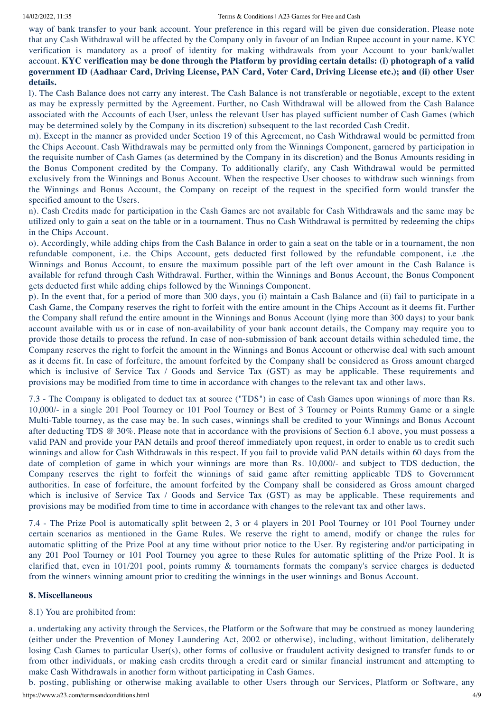way of bank transfer to your bank account. Your preference in this regard will be given due consideration. Please note that any Cash Withdrawal will be affected by the Company only in favour of an Indian Rupee account in your name. KYC verification is mandatory as a proof of identity for making withdrawals from your Account to your bank/wallet account. KYC verification may be done through the Platform by providing certain details: (i) photograph of a valid government ID (Aadhaar Card, Driving License, PAN Card, Voter Card, Driving License etc.); and (ii) other User **details.**

l). The Cash Balance does not carry any interest. The Cash Balance is not transferable or negotiable, except to the extent as may be expressly permitted by the Agreement. Further, no Cash Withdrawal will be allowed from the Cash Balance associated with the Accounts of each User, unless the relevant User has played sufficient number of Cash Games (which may be determined solely by the Company in its discretion) subsequent to the last recorded Cash Credit.

m). Except in the manner as provided under Section 19 of this Agreement, no Cash Withdrawal would be permitted from the Chips Account. Cash Withdrawals may be permitted only from the Winnings Component, garnered by participation in the requisite number of Cash Games (as determined by the Company in its discretion) and the Bonus Amounts residing in the Bonus Component credited by the Company. To additionally clarify, any Cash Withdrawal would be permitted exclusively from the Winnings and Bonus Account. When the respective User chooses to withdraw such winnings from the Winnings and Bonus Account, the Company on receipt of the request in the specified form would transfer the specified amount to the Users.

n). Cash Credits made for participation in the Cash Games are not available for Cash Withdrawals and the same may be utilized only to gain a seat on the table or in a tournament. Thus no Cash Withdrawal is permitted by redeeming the chips in the Chips Account.

o). Accordingly, while adding chips from the Cash Balance in order to gain a seat on the table or in a tournament, the non refundable component, i.e. the Chips Account, gets deducted first followed by the refundable component, i.e .the Winnings and Bonus Account, to ensure the maximum possible part of the left over amount in the Cash Balance is available for refund through Cash Withdrawal. Further, within the Winnings and Bonus Account, the Bonus Component gets deducted first while adding chips followed by the Winnings Component.

p). In the event that, for a period of more than 300 days, you (i) maintain a Cash Balance and (ii) fail to participate in a Cash Game, the Company reserves the right to forfeit with the entire amount in the Chips Account as it deems fit. Further the Company shall refund the entire amount in the Winnings and Bonus Account (lying more than 300 days) to your bank account available with us or in case of non-availability of your bank account details, the Company may require you to provide those details to process the refund. In case of non-submission of bank account details within scheduled time, the Company reserves the right to forfeit the amount in the Winnings and Bonus Account or otherwise deal with such amount as it deems fit. In case of forfeiture, the amount forfeited by the Company shall be considered as Gross amount charged which is inclusive of Service Tax / Goods and Service Tax (GST) as may be applicable. These requirements and provisions may be modified from time to time in accordance with changes to the relevant tax and other laws.

7.3 - The Company is obligated to deduct tax at source ("TDS") in case of Cash Games upon winnings of more than Rs. 10,000/- in a single 201 Pool Tourney or 101 Pool Tourney or Best of 3 Tourney or Points Rummy Game or a single Multi-Table tourney, as the case may be. In such cases, winnings shall be credited to your Winnings and Bonus Account after deducting TDS @ 30%. Please note that in accordance with the provisions of Section 6.1 above, you must possess a valid PAN and provide your PAN details and proof thereof immediately upon request, in order to enable us to credit such winnings and allow for Cash Withdrawals in this respect. If you fail to provide valid PAN details within 60 days from the date of completion of game in which your winnings are more than Rs. 10,000/- and subject to TDS deduction, the Company reserves the right to forfeit the winnings of said game after remitting applicable TDS to Government authorities. In case of forfeiture, the amount forfeited by the Company shall be considered as Gross amount charged which is inclusive of Service Tax / Goods and Service Tax (GST) as may be applicable. These requirements and provisions may be modified from time to time in accordance with changes to the relevant tax and other laws.

7.4 - The Prize Pool is automatically split between 2, 3 or 4 players in 201 Pool Tourney or 101 Pool Tourney under certain scenarios as mentioned in the Game Rules. We reserve the right to amend, modify or change the rules for automatic splitting of the Prize Pool at any time without prior notice to the User. By registering and/or participating in any 201 Pool Tourney or 101 Pool Tourney you agree to these Rules for automatic splitting of the Prize Pool. It is clarified that, even in 101/201 pool, points rummy & tournaments formats the company's service charges is deducted from the winners winning amount prior to crediting the winnings in the user winnings and Bonus Account.

#### **8. Miscellaneous**

#### 8.1) You are prohibited from:

a. undertaking any activity through the Services, the Platform or the Software that may be construed as money laundering (either under the Prevention of Money Laundering Act, 2002 or otherwise), including, without limitation, deliberately losing Cash Games to particular User(s), other forms of collusive or fraudulent activity designed to transfer funds to or from other individuals, or making cash credits through a credit card or similar financial instrument and attempting to make Cash Withdrawals in another form without participating in Cash Games.

https://www.a23.com/termsandconditions.html 4/9 b. posting, publishing or otherwise making available to other Users through our Services, Platform or Software, any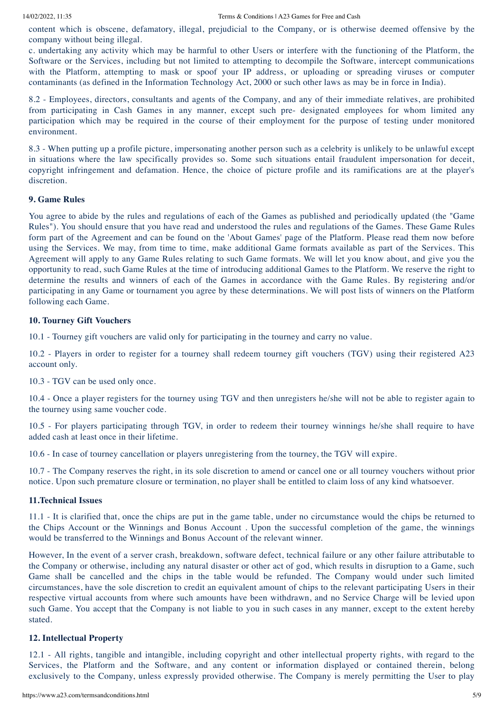content which is obscene, defamatory, illegal, prejudicial to the Company, or is otherwise deemed offensive by the company without being illegal.

c. undertaking any activity which may be harmful to other Users or interfere with the functioning of the Platform, the Software or the Services, including but not limited to attempting to decompile the Software, intercept communications with the Platform, attempting to mask or spoof your IP address, or uploading or spreading viruses or computer contaminants (as defined in the Information Technology Act, 2000 or such other laws as may be in force in India).

8.2 - Employees, directors, consultants and agents of the Company, and any of their immediate relatives, are prohibited from participating in Cash Games in any manner, except such pre- designated employees for whom limited any participation which may be required in the course of their employment for the purpose of testing under monitored environment.

8.3 - When putting up a profile picture, impersonating another person such as a celebrity is unlikely to be unlawful except in situations where the law specifically provides so. Some such situations entail fraudulent impersonation for deceit, copyright infringement and defamation. Hence, the choice of picture profile and its ramifications are at the player's discretion.

### **9. Game Rules**

You agree to abide by the rules and regulations of each of the Games as published and periodically updated (the "Game Rules"). You should ensure that you have read and understood the rules and regulations of the Games. These Game Rules form part of the Agreement and can be found on the 'About Games' page of the Platform. Please read them now before using the Services. We may, from time to time, make additional Game formats available as part of the Services. This Agreement will apply to any Game Rules relating to such Game formats. We will let you know about, and give you the opportunity to read, such Game Rules at the time of introducing additional Games to the Platform. We reserve the right to determine the results and winners of each of the Games in accordance with the Game Rules. By registering and/or participating in any Game or tournament you agree by these determinations. We will post lists of winners on the Platform following each Game.

### **10. Tourney Gift Vouchers**

10.1 - Tourney gift vouchers are valid only for participating in the tourney and carry no value.

10.2 - Players in order to register for a tourney shall redeem tourney gift vouchers (TGV) using their registered A23 account only.

10.3 - TGV can be used only once.

10.4 - Once a player registers for the tourney using TGV and then unregisters he/she will not be able to register again to the tourney using same voucher code.

10.5 - For players participating through TGV, in order to redeem their tourney winnings he/she shall require to have added cash at least once in their lifetime.

10.6 - In case of tourney cancellation or players unregistering from the tourney, the TGV will expire.

10.7 - The Company reserves the right, in its sole discretion to amend or cancel one or all tourney vouchers without prior notice. Upon such premature closure or termination, no player shall be entitled to claim loss of any kind whatsoever.

### **11.Technical Issues**

11.1 - It is clarified that, once the chips are put in the game table, under no circumstance would the chips be returned to the Chips Account or the Winnings and Bonus Account . Upon the successful completion of the game, the winnings would be transferred to the Winnings and Bonus Account of the relevant winner.

However, In the event of a server crash, breakdown, software defect, technical failure or any other failure attributable to the Company or otherwise, including any natural disaster or other act of god, which results in disruption to a Game, such Game shall be cancelled and the chips in the table would be refunded. The Company would under such limited circumstances, have the sole discretion to credit an equivalent amount of chips to the relevant participating Users in their respective virtual accounts from where such amounts have been withdrawn, and no Service Charge will be levied upon such Game. You accept that the Company is not liable to you in such cases in any manner, except to the extent hereby stated.

### **12. Intellectual Property**

12.1 - All rights, tangible and intangible, including copyright and other intellectual property rights, with regard to the Services, the Platform and the Software, and any content or information displayed or contained therein, belong exclusively to the Company, unless expressly provided otherwise. The Company is merely permitting the User to play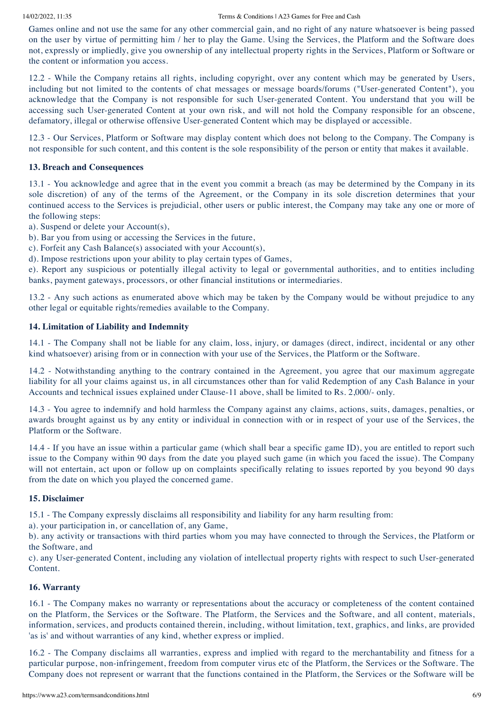Games online and not use the same for any other commercial gain, and no right of any nature whatsoever is being passed on the user by virtue of permitting him / her to play the Game. Using the Services, the Platform and the Software does not, expressly or impliedly, give you ownership of any intellectual property rights in the Services, Platform or Software or the content or information you access.

12.2 - While the Company retains all rights, including copyright, over any content which may be generated by Users, including but not limited to the contents of chat messages or message boards/forums ("User-generated Content"), you acknowledge that the Company is not responsible for such User-generated Content. You understand that you will be accessing such User-generated Content at your own risk, and will not hold the Company responsible for an obscene, defamatory, illegal or otherwise offensive User-generated Content which may be displayed or accessible.

12.3 - Our Services, Platform or Software may display content which does not belong to the Company. The Company is not responsible for such content, and this content is the sole responsibility of the person or entity that makes it available.

### **13. Breach and Consequences**

13.1 - You acknowledge and agree that in the event you commit a breach (as may be determined by the Company in its sole discretion) of any of the terms of the Agreement, or the Company in its sole discretion determines that your continued access to the Services is prejudicial, other users or public interest, the Company may take any one or more of the following steps:

a). Suspend or delete your Account(s),

b). Bar you from using or accessing the Services in the future,

c). Forfeit any Cash Balance(s) associated with your Account(s),

d). Impose restrictions upon your ability to play certain types of Games,

e). Report any suspicious or potentially illegal activity to legal or governmental authorities, and to entities including banks, payment gateways, processors, or other financial institutions or intermediaries.

13.2 - Any such actions as enumerated above which may be taken by the Company would be without prejudice to any other legal or equitable rights/remedies available to the Company.

### **14. Limitation of Liability and Indemnity**

14.1 - The Company shall not be liable for any claim, loss, injury, or damages (direct, indirect, incidental or any other kind whatsoever) arising from or in connection with your use of the Services, the Platform or the Software.

14.2 - Notwithstanding anything to the contrary contained in the Agreement, you agree that our maximum aggregate liability for all your claims against us, in all circumstances other than for valid Redemption of any Cash Balance in your Accounts and technical issues explained under Clause-11 above, shall be limited to Rs. 2,000/- only.

14.3 - You agree to indemnify and hold harmless the Company against any claims, actions, suits, damages, penalties, or awards brought against us by any entity or individual in connection with or in respect of your use of the Services, the Platform or the Software.

14.4 - If you have an issue within a particular game (which shall bear a specific game ID), you are entitled to report such issue to the Company within 90 days from the date you played such game (in which you faced the issue). The Company will not entertain, act upon or follow up on complaints specifically relating to issues reported by you beyond 90 days from the date on which you played the concerned game.

### **15. Disclaimer**

15.1 - The Company expressly disclaims all responsibility and liability for any harm resulting from:

a). your participation in, or cancellation of, any Game,

b). any activity or transactions with third parties whom you may have connected to through the Services, the Platform or the Software, and

c). any User-generated Content, including any violation of intellectual property rights with respect to such User-generated Content.

### **16. Warranty**

16.1 - The Company makes no warranty or representations about the accuracy or completeness of the content contained on the Platform, the Services or the Software. The Platform, the Services and the Software, and all content, materials, information, services, and products contained therein, including, without limitation, text, graphics, and links, are provided 'as is' and without warranties of any kind, whether express or implied.

16.2 - The Company disclaims all warranties, express and implied with regard to the merchantability and fitness for a particular purpose, non-infringement, freedom from computer virus etc of the Platform, the Services or the Software. The Company does not represent or warrant that the functions contained in the Platform, the Services or the Software will be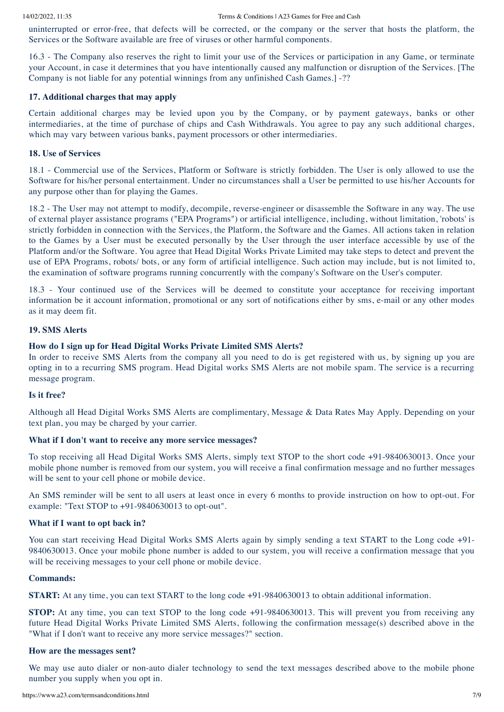uninterrupted or error-free, that defects will be corrected, or the company or the server that hosts the platform, the Services or the Software available are free of viruses or other harmful components.

16.3 - The Company also reserves the right to limit your use of the Services or participation in any Game, or terminate your Account, in case it determines that you have intentionally caused any malfunction or disruption of the Services. [The Company is not liable for any potential winnings from any unfinished Cash Games.] -??

## **17. Additional charges that may apply**

Certain additional charges may be levied upon you by the Company, or by payment gateways, banks or other intermediaries, at the time of purchase of chips and Cash Withdrawals. You agree to pay any such additional charges, which may vary between various banks, payment processors or other intermediaries.

### **18. Use of Services**

18.1 - Commercial use of the Services, Platform or Software is strictly forbidden. The User is only allowed to use the Software for his/her personal entertainment. Under no circumstances shall a User be permitted to use his/her Accounts for any purpose other than for playing the Games.

18.2 - The User may not attempt to modify, decompile, reverse-engineer or disassemble the Software in any way. The use of external player assistance programs ("EPA Programs") or artificial intelligence, including, without limitation, 'robots' is strictly forbidden in connection with the Services, the Platform, the Software and the Games. All actions taken in relation to the Games by a User must be executed personally by the User through the user interface accessible by use of the Platform and/or the Software. You agree that Head Digital Works Private Limited may take steps to detect and prevent the use of EPA Programs, robots/ bots, or any form of artificial intelligence. Such action may include, but is not limited to, the examination of software programs running concurrently with the company's Software on the User's computer.

18.3 - Your continued use of the Services will be deemed to constitute your acceptance for receiving important information be it account information, promotional or any sort of notifications either by sms, e-mail or any other modes as it may deem fit.

## **19. SMS Alerts**

## **How do I sign up for Head Digital Works Private Limited SMS Alerts?**

In order to receive SMS Alerts from the company all you need to do is get registered with us, by signing up you are opting in to a recurring SMS program. Head Digital works SMS Alerts are not mobile spam. The service is a recurring message program.

### **Is it free?**

Although all Head Digital Works SMS Alerts are complimentary, Message & Data Rates May Apply. Depending on your text plan, you may be charged by your carrier.

### **What if I don't want to receive any more service messages?**

To stop receiving all Head Digital Works SMS Alerts, simply text STOP to the short code +91-9840630013. Once your mobile phone number is removed from our system, you will receive a final confirmation message and no further messages will be sent to your cell phone or mobile device.

An SMS reminder will be sent to all users at least once in every 6 months to provide instruction on how to opt-out. For example: "Text STOP to +91-9840630013 to opt-out".

### **What if I want to opt back in?**

You can start receiving Head Digital Works SMS Alerts again by simply sending a text START to the Long code +91- 9840630013. Once your mobile phone number is added to our system, you will receive a confirmation message that you will be receiving messages to your cell phone or mobile device.

### **Commands:**

**START:** At any time, you can text START to the long code +91-9840630013 to obtain additional information.

**STOP:** At any time, you can text STOP to the long code  $+91-9840630013$ . This will prevent you from receiving any future Head Digital Works Private Limited SMS Alerts, following the confirmation message(s) described above in the "What if I don't want to receive any more service messages?" section.

### **How are the messages sent?**

We may use auto dialer or non-auto dialer technology to send the text messages described above to the mobile phone number you supply when you opt in.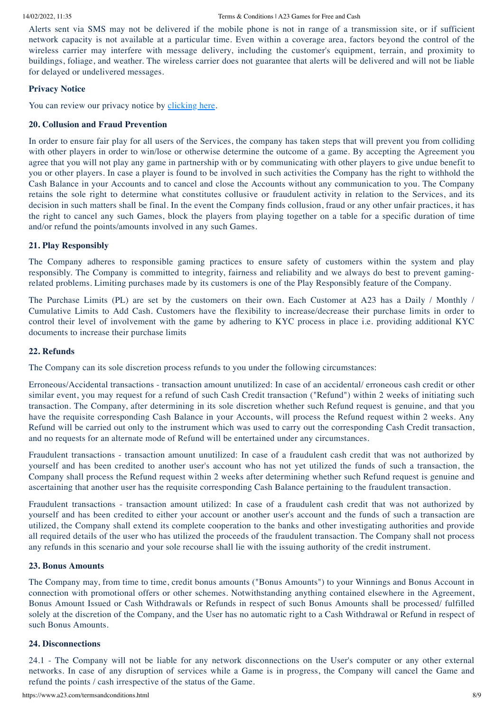Alerts sent via SMS may not be delivered if the mobile phone is not in range of a transmission site, or if sufficient network capacity is not available at a particular time. Even within a coverage area, factors beyond the control of the wireless carrier may interfere with message delivery, including the customer's equipment, terrain, and proximity to buildings, foliage, and weather. The wireless carrier does not guarantee that alerts will be delivered and will not be liable for delayed or undelivered messages.

## **Privacy Notice**

You can review our privacy notice by [clicking](https://www.a23.com/termsandconditions.html#) here.

### **20. Collusion and Fraud Prevention**

In order to ensure fair play for all users of the Services, the company has taken steps that will prevent you from colliding with other players in order to win/lose or otherwise determine the outcome of a game. By accepting the Agreement you agree that you will not play any game in partnership with or by communicating with other players to give undue benefit to you or other players. In case a player is found to be involved in such activities the Company has the right to withhold the Cash Balance in your Accounts and to cancel and close the Accounts without any communication to you. The Company retains the sole right to determine what constitutes collusive or fraudulent activity in relation to the Services, and its decision in such matters shall be final. In the event the Company finds collusion, fraud or any other unfair practices, it has the right to cancel any such Games, block the players from playing together on a table for a specific duration of time and/or refund the points/amounts involved in any such Games.

### **21. Play Responsibly**

The Company adheres to responsible gaming practices to ensure safety of customers within the system and play responsibly. The Company is committed to integrity, fairness and reliability and we always do best to prevent gamingrelated problems. Limiting purchases made by its customers is one of the Play Responsibly feature of the Company.

The Purchase Limits (PL) are set by the customers on their own. Each Customer at A23 has a Daily / Monthly / Cumulative Limits to Add Cash. Customers have the flexibility to increase/decrease their purchase limits in order to control their level of involvement with the game by adhering to KYC process in place i.e. providing additional KYC documents to increase their purchase limits

### **22. Refunds**

The Company can its sole discretion process refunds to you under the following circumstances:

Erroneous/Accidental transactions - transaction amount unutilized: In case of an accidental/ erroneous cash credit or other similar event, you may request for a refund of such Cash Credit transaction ("Refund") within 2 weeks of initiating such transaction. The Company, after determining in its sole discretion whether such Refund request is genuine, and that you have the requisite corresponding Cash Balance in your Accounts, will process the Refund request within 2 weeks. Any Refund will be carried out only to the instrument which was used to carry out the corresponding Cash Credit transaction, and no requests for an alternate mode of Refund will be entertained under any circumstances.

Fraudulent transactions - transaction amount unutilized: In case of a fraudulent cash credit that was not authorized by yourself and has been credited to another user's account who has not yet utilized the funds of such a transaction, the Company shall process the Refund request within 2 weeks after determining whether such Refund request is genuine and ascertaining that another user has the requisite corresponding Cash Balance pertaining to the fraudulent transaction.

Fraudulent transactions - transaction amount utilized: In case of a fraudulent cash credit that was not authorized by yourself and has been credited to either your account or another user's account and the funds of such a transaction are utilized, the Company shall extend its complete cooperation to the banks and other investigating authorities and provide all required details of the user who has utilized the proceeds of the fraudulent transaction. The Company shall not process any refunds in this scenario and your sole recourse shall lie with the issuing authority of the credit instrument.

### **23. Bonus Amounts**

The Company may, from time to time, credit bonus amounts ("Bonus Amounts") to your Winnings and Bonus Account in connection with promotional offers or other schemes. Notwithstanding anything contained elsewhere in the Agreement, Bonus Amount Issued or Cash Withdrawals or Refunds in respect of such Bonus Amounts shall be processed/ fulfilled solely at the discretion of the Company, and the User has no automatic right to a Cash Withdrawal or Refund in respect of such Bonus Amounts.

### **24. Disconnections**

24.1 - The Company will not be liable for any network disconnections on the User's computer or any other external networks. In case of any disruption of services while a Game is in progress, the Company will cancel the Game and refund the points / cash irrespective of the status of the Game.